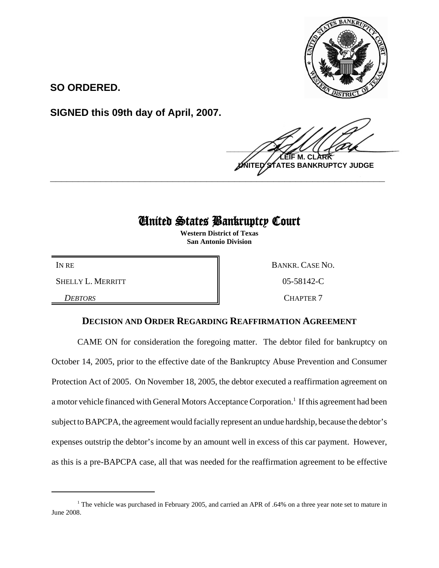

**SO ORDERED.**

**SIGNED this 09th day of April, 2007.**

 $\frac{1}{2}$ **LEIF M. CLARK BANKRUPTCY JUDGE \_\_\_\_\_\_\_\_\_\_\_\_\_\_\_\_\_\_\_\_\_\_\_\_\_\_\_\_\_\_\_\_\_\_\_\_\_\_\_\_\_\_\_\_\_\_\_\_\_\_\_\_\_\_\_\_\_\_\_\_**

## United States Bankruptcy Court

**Western District of Texas San Antonio Division**

SHELLY L. MERRITT 805-58142-C

**DEBTORS** CHAPTER 7

IN RE BANKR. CASE NO.

## **DECISION AND ORDER REGARDING REAFFIRMATION AGREEMENT**

CAME ON for consideration the foregoing matter. The debtor filed for bankruptcy on October 14, 2005, prior to the effective date of the Bankruptcy Abuse Prevention and Consumer Protection Act of 2005. On November 18, 2005, the debtor executed a reaffirmation agreement on a motor vehicle financed with General Motors Acceptance Corporation.<sup>1</sup> If this agreement had been subject to BAPCPA, the agreement would facially represent an undue hardship, because the debtor's expenses outstrip the debtor's income by an amount well in excess of this car payment. However, as this is a pre-BAPCPA case, all that was needed for the reaffirmation agreement to be effective

<sup>&</sup>lt;sup>1</sup> The vehicle was purchased in February 2005, and carried an APR of .64% on a three year note set to mature in June 2008.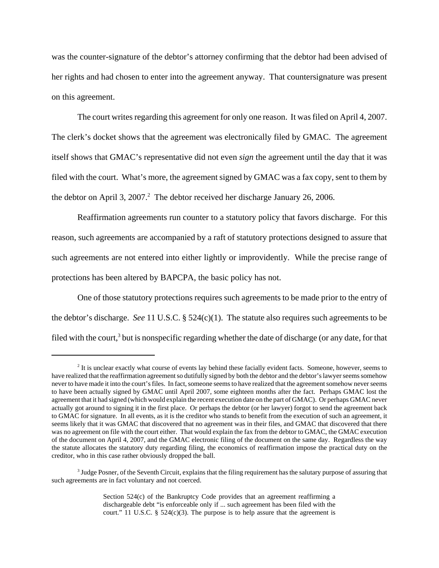was the counter-signature of the debtor's attorney confirming that the debtor had been advised of her rights and had chosen to enter into the agreement anyway. That countersignature was present on this agreement.

The court writes regarding this agreement for only one reason. It was filed on April 4, 2007. The clerk's docket shows that the agreement was electronically filed by GMAC. The agreement itself shows that GMAC's representative did not even *sign* the agreement until the day that it was filed with the court. What's more, the agreement signed by GMAC was a fax copy, sent to them by the debtor on April 3, 2007.<sup>2</sup> The debtor received her discharge January 26, 2006.

Reaffirmation agreements run counter to a statutory policy that favors discharge. For this reason, such agreements are accompanied by a raft of statutory protections designed to assure that such agreements are not entered into either lightly or improvidently. While the precise range of protections has been altered by BAPCPA, the basic policy has not.

One of those statutory protections requires such agreements to be made prior to the entry of the debtor's discharge. *See* 11 U.S.C. § 524(c)(1). The statute also requires such agreements to be filed with the court,<sup>3</sup> but is nonspecific regarding whether the date of discharge (or any date, for that

<sup>&</sup>lt;sup>2</sup> It is unclear exactly what course of events lay behind these facially evident facts. Someone, however, seems to have realized that the reaffirmation agreement so dutifully signed by both the debtor and the debtor's lawyer seems somehow never to have made it into the court's files. In fact, someone seems to have realized that the agreement somehow never seems to have been actually signed by GMAC until April 2007, some eighteen months after the fact. Perhaps GMAC lost the agreement that it had signed (which would explain the recent execution date on the part of GMAC). Or perhaps GMAC never actually got around to signing it in the first place. Or perhaps the debtor (or her lawyer) forgot to send the agreement back to GMAC for signature. In all events, as it is the creditor who stands to benefit from the execution of such an agreement, it seems likely that it was GMAC that discovered that no agreement was in their files, and GMAC that discovered that there was no agreement on file with the court either. That would explain the fax from the debtor to GMAC, the GMAC execution of the document on April 4, 2007, and the GMAC electronic filing of the document on the same day. Regardless the way the statute allocates the statutory duty regarding filing, the economics of reaffirmation impose the practical duty on the creditor, who in this case rather obviously dropped the ball.

<sup>&</sup>lt;sup>3</sup> Judge Posner, of the Seventh Circuit, explains that the filing requirement has the salutary purpose of assuring that such agreements are in fact voluntary and not coerced.

Section 524(c) of the Bankruptcy Code provides that an agreement reaffirming a dischargeable debt "is enforceable only if ... such agreement has been filed with the court." 11 U.S.C.  $\S$  524(c)(3). The purpose is to help assure that the agreement is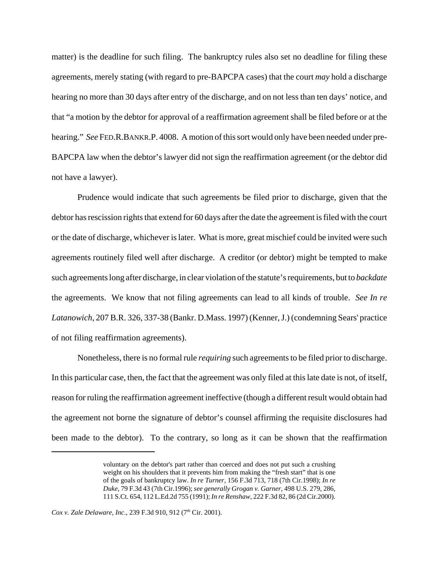matter) is the deadline for such filing. The bankruptcy rules also set no deadline for filing these agreements, merely stating (with regard to pre-BAPCPA cases) that the court *may* hold a discharge hearing no more than 30 days after entry of the discharge, and on not less than ten days' notice, and that "a motion by the debtor for approval of a reaffirmation agreement shall be filed before or at the hearing." *See* FED.R.BANKR.P. 4008. A motion of this sort would only have been needed under pre-BAPCPA law when the debtor's lawyer did not sign the reaffirmation agreement (or the debtor did not have a lawyer).

Prudence would indicate that such agreements be filed prior to discharge, given that the debtor has rescission rights that extend for 60 days after the date the agreement is filed with the court or the date of discharge, whichever is later. What is more, great mischief could be invited were such agreements routinely filed well after discharge. A creditor (or debtor) might be tempted to make such agreements long after discharge, in clear violation of the statute's requirements, but to *backdate* the agreements. We know that not filing agreements can lead to all kinds of trouble. *See In re Latanowich*, 207 B.R. 326, 337-38 (Bankr. D.Mass. 1997) (Kenner, J.) (condemning Sears' practice of not filing reaffirmation agreements).

Nonetheless, there is no formal rule *requiring* such agreements to be filed prior to discharge. In this particular case, then, the fact that the agreement was only filed at this late date is not, of itself, reason for ruling the reaffirmation agreement ineffective (though a different result would obtain had the agreement not borne the signature of debtor's counsel affirming the requisite disclosures had been made to the debtor). To the contrary, so long as it can be shown that the reaffirmation

voluntary on the debtor's part rather than coerced and does not put such a crushing weight on his shoulders that it prevents him from making the "fresh start" that is one of the goals of bankruptcy law. *In re Turner*, 156 F.3d 713, 718 (7th Cir.1998); *In re Duke*, 79 F.3d 43 (7th Cir.1996); *see generally Grogan v. Garner*, 498 U.S. 279, 286, 111 S.Ct. 654, 112 L.Ed.2d 755 (1991); *In re Renshaw*, 222 F.3d 82, 86 (2d Cir.2000).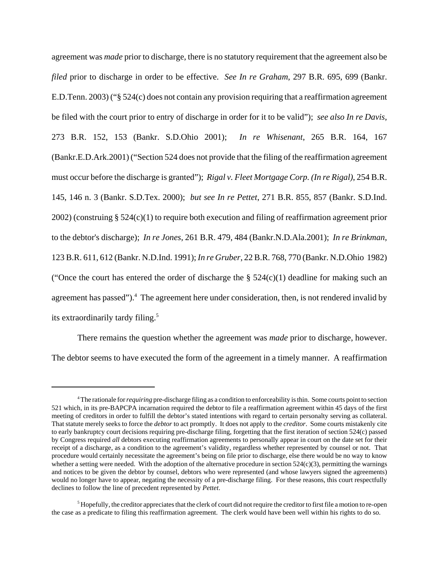agreement was *made* prior to discharge, there is no statutory requirement that the agreement also be *filed* prior to discharge in order to be effective. *See In re Graham*, 297 B.R. 695, 699 (Bankr. E.D.Tenn. 2003) ("§ 524(c) does not contain any provision requiring that a reaffirmation agreement be filed with the court prior to entry of discharge in order for it to be valid"); *see also In re Davis*, 273 B.R. 152, 153 (Bankr. S.D.Ohio 2001); *In re Whisenant*, 265 B.R. 164, 167 (Bankr.E.D.Ark.2001) ("Section 524 does not provide that the filing of the reaffirmation agreement must occur before the discharge is granted"); *Rigal v. Fleet Mortgage Corp. (In re Rigal)*, 254 B.R. 145, 146 n. 3 (Bankr. S.D.Tex. 2000); *but see In re Pettet*, 271 B.R. 855, 857 (Bankr. S.D.Ind. 2002) (construing  $\S 524(c)(1)$  to require both execution and filing of reaffirmation agreement prior to the debtor's discharge); *In re Jones*, 261 B.R. 479, 484 (Bankr.N.D.Ala.2001); *In re Brinkman*, 123 B.R. 611, 612 (Bankr. N.D.Ind. 1991); *In re Gruber*, 22 B.R. 768, 770 (Bankr. N.D.Ohio 1982) ("Once the court has entered the order of discharge the  $\S 524(c)(1)$  deadline for making such an agreement has passed").<sup>4</sup> The agreement here under consideration, then, is not rendered invalid by its extraordinarily tardy filing.<sup>5</sup>

There remains the question whether the agreement was *made* prior to discharge, however. The debtor seems to have executed the form of the agreement in a timely manner. A reaffirmation

<sup>4</sup> The rationale for *requiring* pre-discharge filing as a condition to enforceability is thin. Some courts point to section 521 which, in its pre-BAPCPA incarnation required the debtor to file a reaffirmation agreement within 45 days of the first meeting of creditors in order to fulfill the debtor's stated intentions with regard to certain personalty serving as collateral. That statute merely seeks to force the *debtor* to act promptly. It does not apply to the *creditor*. Some courts mistakenly cite to early bankruptcy court decisions requiring pre-discharge filing, forgetting that the first iteration of section 524(c) passed by Congress required *all* debtors executing reaffirmation agreements to personally appear in court on the date set for their receipt of a discharge, as a condition to the agreement's validity, regardless whether represented by counsel or not. That procedure would certainly necessitate the agreement's being on file prior to discharge, else there would be no way to know whether a setting were needed. With the adoption of the alternative procedure in section  $524(c)(3)$ , permitting the warnings and notices to be given the debtor by counsel, debtors who were represented (and whose lawyers signed the agreements) would no longer have to appear, negating the necessity of a pre-discharge filing. For these reasons, this court respectfully declines to follow the line of precedent represented by *Pettet*.

 $<sup>5</sup>$  Hopefully, the creditor appreciates that the clerk of court did not require the creditor to first file a motion to re-open</sup> the case as a predicate to filing this reaffirmation agreement. The clerk would have been well within his rights to do so.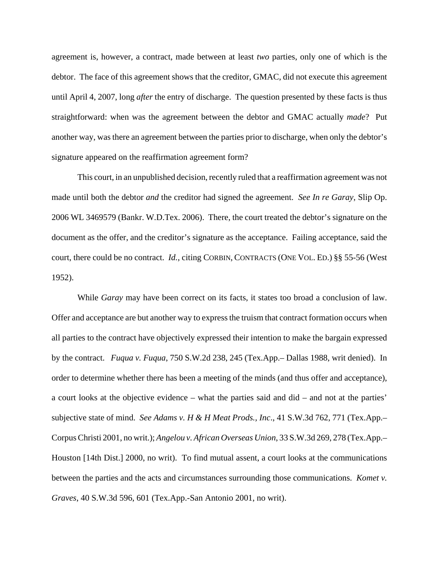agreement is, however, a contract, made between at least *two* parties, only one of which is the debtor. The face of this agreement shows that the creditor, GMAC, did not execute this agreement until April 4, 2007, long *after* the entry of discharge. The question presented by these facts is thus straightforward: when was the agreement between the debtor and GMAC actually *made*? Put another way, was there an agreement between the parties prior to discharge, when only the debtor's signature appeared on the reaffirmation agreement form?

This court, in an unpublished decision, recently ruled that a reaffirmation agreement was not made until both the debtor *and* the creditor had signed the agreement. *See In re Garay*, Slip Op. 2006 WL 3469579 (Bankr. W.D.Tex. 2006). There, the court treated the debtor's signature on the document as the offer, and the creditor's signature as the acceptance. Failing acceptance, said the court, there could be no contract. *Id.*, citing CORBIN, CONTRACTS (ONE VOL. ED.) §§ 55-56 (West 1952).

While *Garay* may have been correct on its facts, it states too broad a conclusion of law. Offer and acceptance are but another way to express the truism that contract formation occurs when all parties to the contract have objectively expressed their intention to make the bargain expressed by the contract. *Fuqua v. Fuqua*, 750 S.W.2d 238, 245 (Tex.App.– Dallas 1988, writ denied). In order to determine whether there has been a meeting of the minds (and thus offer and acceptance), a court looks at the objective evidence – what the parties said and did – and not at the parties' subjective state of mind. *See Adams v. H & H Meat Prods., Inc*., 41 S.W.3d 762, 771 (Tex.App.– Corpus Christi 2001, no writ.); *Angelou v. African Overseas Union*, 33 S.W.3d 269, 278 (Tex.App.– Houston [14th Dist.] 2000, no writ). To find mutual assent, a court looks at the communications between the parties and the acts and circumstances surrounding those communications. *Komet v. Graves*, 40 S.W.3d 596, 601 (Tex.App.-San Antonio 2001, no writ).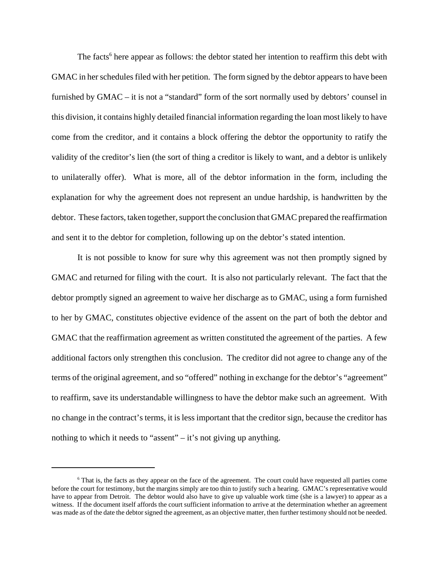The facts<sup>6</sup> here appear as follows: the debtor stated her intention to reaffirm this debt with GMAC in her schedules filed with her petition. The form signed by the debtor appears to have been furnished by GMAC – it is not a "standard" form of the sort normally used by debtors' counsel in this division, it contains highly detailed financial information regarding the loan most likely to have come from the creditor, and it contains a block offering the debtor the opportunity to ratify the validity of the creditor's lien (the sort of thing a creditor is likely to want, and a debtor is unlikely to unilaterally offer). What is more, all of the debtor information in the form, including the explanation for why the agreement does not represent an undue hardship, is handwritten by the debtor. These factors, taken together, support the conclusion that GMAC prepared the reaffirmation and sent it to the debtor for completion, following up on the debtor's stated intention.

It is not possible to know for sure why this agreement was not then promptly signed by GMAC and returned for filing with the court. It is also not particularly relevant. The fact that the debtor promptly signed an agreement to waive her discharge as to GMAC, using a form furnished to her by GMAC, constitutes objective evidence of the assent on the part of both the debtor and GMAC that the reaffirmation agreement as written constituted the agreement of the parties. A few additional factors only strengthen this conclusion. The creditor did not agree to change any of the terms of the original agreement, and so "offered" nothing in exchange for the debtor's "agreement" to reaffirm, save its understandable willingness to have the debtor make such an agreement. With no change in the contract's terms, it is less important that the creditor sign, because the creditor has nothing to which it needs to "assent" – it's not giving up anything.

<sup>&</sup>lt;sup>6</sup> That is, the facts as they appear on the face of the agreement. The court could have requested all parties come before the court for testimony, but the margins simply are too thin to justify such a hearing. GMAC's representative would have to appear from Detroit. The debtor would also have to give up valuable work time (she is a lawyer) to appear as a witness. If the document itself affords the court sufficient information to arrive at the determination whether an agreement was made as of the date the debtor signed the agreement, as an objective matter, then further testimony should not be needed.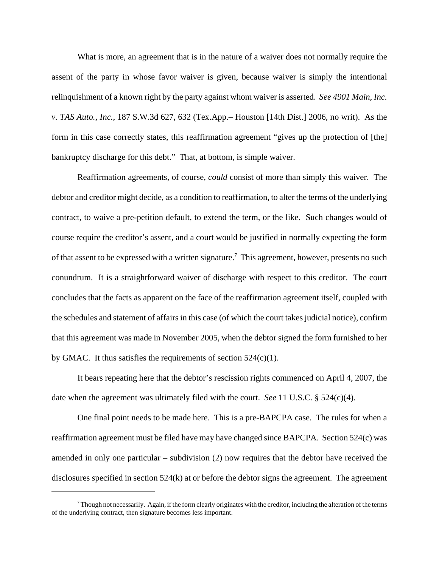What is more, an agreement that is in the nature of a waiver does not normally require the assent of the party in whose favor waiver is given, because waiver is simply the intentional relinquishment of a known right by the party against whom waiver is asserted. *See 4901 Main, Inc. v. TAS Auto., Inc.*, 187 S.W.3d 627, 632 (Tex.App.– Houston [14th Dist.] 2006, no writ). As the form in this case correctly states, this reaffirmation agreement "gives up the protection of [the] bankruptcy discharge for this debt." That, at bottom, is simple waiver.

Reaffirmation agreements, of course, *could* consist of more than simply this waiver. The debtor and creditor might decide, as a condition to reaffirmation, to alter the terms of the underlying contract, to waive a pre-petition default, to extend the term, or the like. Such changes would of course require the creditor's assent, and a court would be justified in normally expecting the form of that assent to be expressed with a written signature.<sup>7</sup> This agreement, however, presents no such conundrum. It is a straightforward waiver of discharge with respect to this creditor. The court concludes that the facts as apparent on the face of the reaffirmation agreement itself, coupled with the schedules and statement of affairs in this case (of which the court takes judicial notice), confirm that this agreement was made in November 2005, when the debtor signed the form furnished to her by GMAC. It thus satisfies the requirements of section  $524(c)(1)$ .

It bears repeating here that the debtor's rescission rights commenced on April 4, 2007, the date when the agreement was ultimately filed with the court. *See* 11 U.S.C. § 524(c)(4).

One final point needs to be made here. This is a pre-BAPCPA case. The rules for when a reaffirmation agreement must be filed have may have changed since BAPCPA. Section 524(c) was amended in only one particular – subdivision (2) now requires that the debtor have received the disclosures specified in section 524(k) at or before the debtor signs the agreement. The agreement

 $^7$  Though not necessarily. Again, if the form clearly originates with the creditor, including the alteration of the terms of the underlying contract, then signature becomes less important.